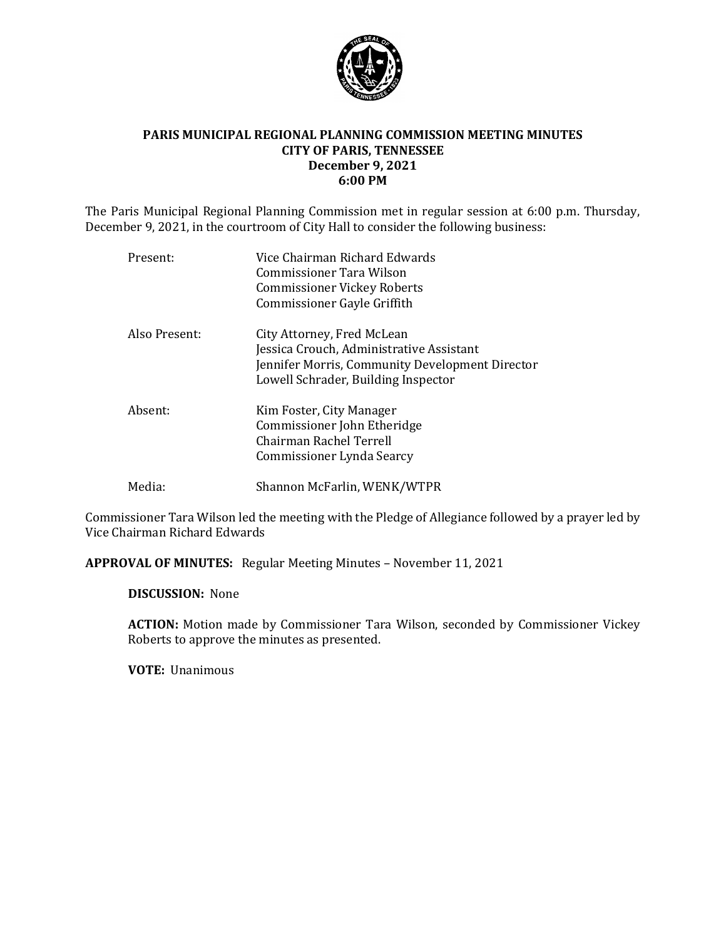

### **PARIS MUNICIPAL REGIONAL PLANNING COMMISSION MEETING MINUTES CITY OF PARIS, TENNESSEE December 9, 2021 6:00 PM**

The Paris Municipal Regional Planning Commission met in regular session at 6:00 p.m. Thursday, December 9, 2021, in the courtroom of City Hall to consider the following business:

| Present:      | Vice Chairman Richard Edwards<br>Commissioner Tara Wilson<br><b>Commissioner Vickey Roberts</b><br><b>Commissioner Gayle Griffith</b>                            |
|---------------|------------------------------------------------------------------------------------------------------------------------------------------------------------------|
| Also Present: | City Attorney, Fred McLean<br>Jessica Crouch, Administrative Assistant<br>Jennifer Morris, Community Development Director<br>Lowell Schrader, Building Inspector |
| Absent:       | Kim Foster, City Manager<br>Commissioner John Etheridge<br>Chairman Rachel Terrell<br>Commissioner Lynda Searcy                                                  |
| Media:        | Shannon McFarlin, WENK/WTPR                                                                                                                                      |

Commissioner Tara Wilson led the meeting with the Pledge of Allegiance followed by a prayer led by Vice Chairman Richard Edwards

**APPROVAL OF MINUTES:** Regular Meeting Minutes – November 11, 2021

**DISCUSSION:** None

**ACTION:** Motion made by Commissioner Tara Wilson, seconded by Commissioner Vickey Roberts to approve the minutes as presented.

**VOTE:** Unanimous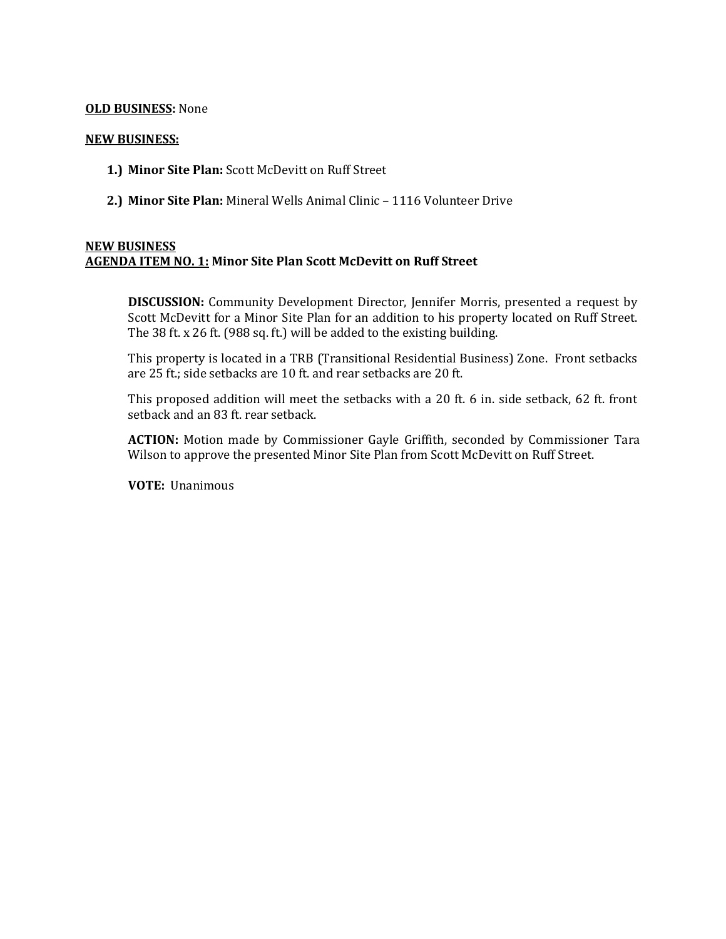### **OLD BUSINESS:** None

#### **NEW BUSINESS:**

- **1.) Minor Site Plan:** Scott McDevitt on Ruff Street
- **2.) Minor Site Plan:** Mineral Wells Animal Clinic 1116 Volunteer Drive

# **NEW BUSINESS AGENDA ITEM NO. 1: Minor Site Plan Scott McDevitt on Ruff Street**

**DISCUSSION:** Community Development Director, Jennifer Morris, presented a request by Scott McDevitt for a Minor Site Plan for an addition to his property located on Ruff Street. The 38 ft. x 26 ft. (988 sq. ft.) will be added to the existing building.

This property is located in a TRB (Transitional Residential Business) Zone. Front setbacks are 25 ft.; side setbacks are 10 ft. and rear setbacks are 20 ft.

This proposed addition will meet the setbacks with a 20 ft. 6 in. side setback, 62 ft. front setback and an 83 ft. rear setback.

**ACTION:** Motion made by Commissioner Gayle Griffith, seconded by Commissioner Tara Wilson to approve the presented Minor Site Plan from Scott McDevitt on Ruff Street.

**VOTE:** Unanimous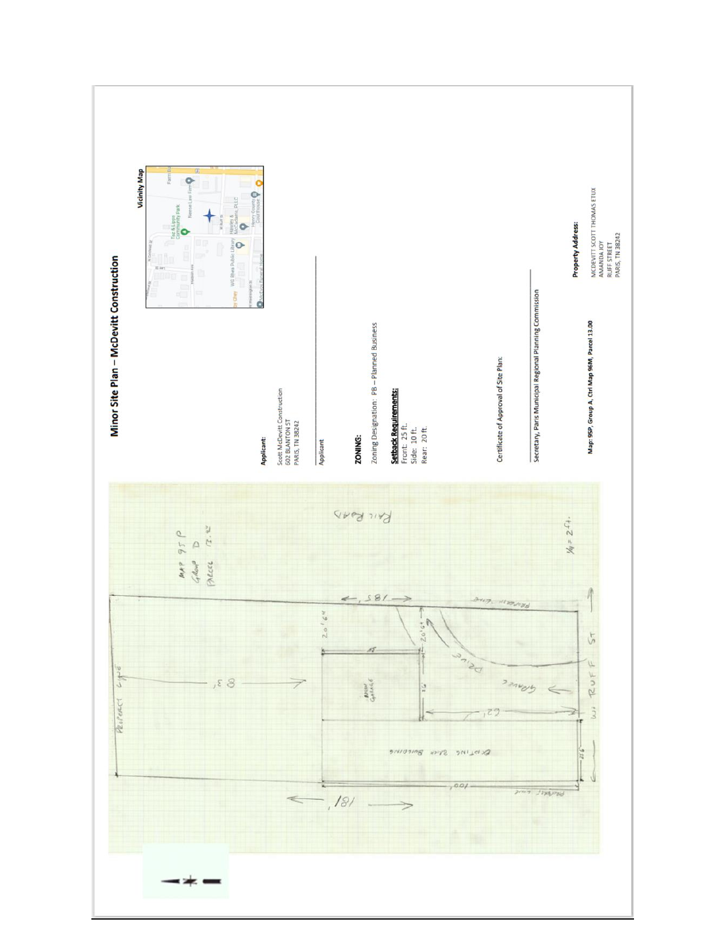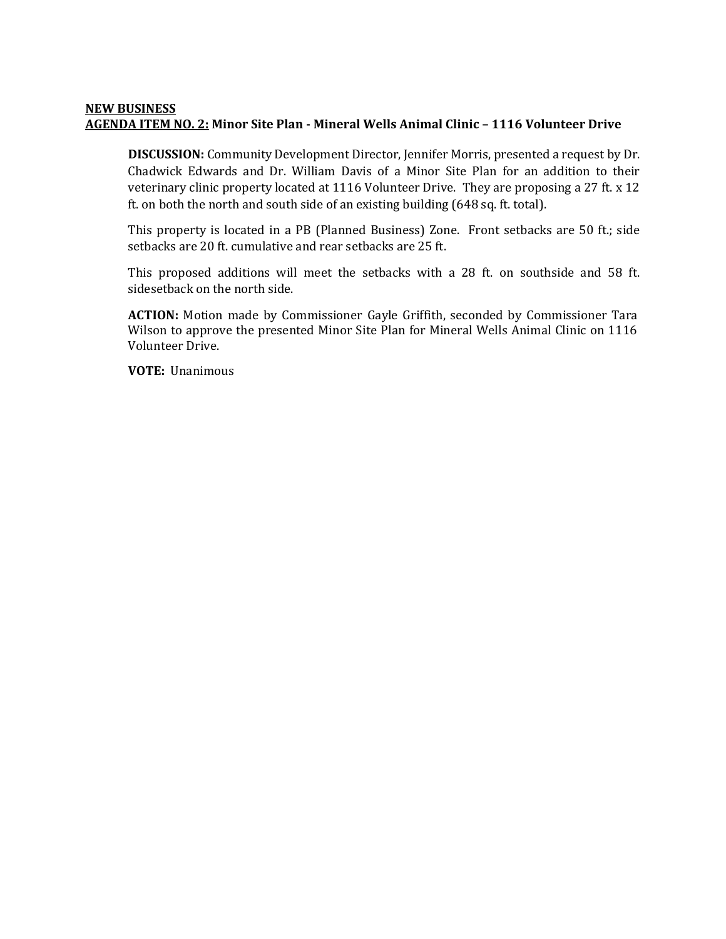#### **NEW BUSINESS AGENDA ITEM NO. 2: Minor Site Plan - Mineral Wells Animal Clinic – 1116 Volunteer Drive**

**DISCUSSION:** Community Development Director, Jennifer Morris, presented a request by Dr. Chadwick Edwards and Dr. William Davis of a Minor Site Plan for an addition to their veterinary clinic property located at 1116 Volunteer Drive. They are proposing a 27 ft. x 12 ft. on both the north and south side of an existing building (648 sq. ft. total).

This property is located in a PB (Planned Business) Zone. Front setbacks are 50 ft.; side setbacks are 20 ft. cumulative and rear setbacks are 25 ft.

This proposed additions will meet the setbacks with a 28 ft. on southside and 58 ft. sidesetback on the north side.

**ACTION:** Motion made by Commissioner Gayle Griffith, seconded by Commissioner Tara Wilson to approve the presented Minor Site Plan for Mineral Wells Animal Clinic on 1116 Volunteer Drive.

**VOTE:** Unanimous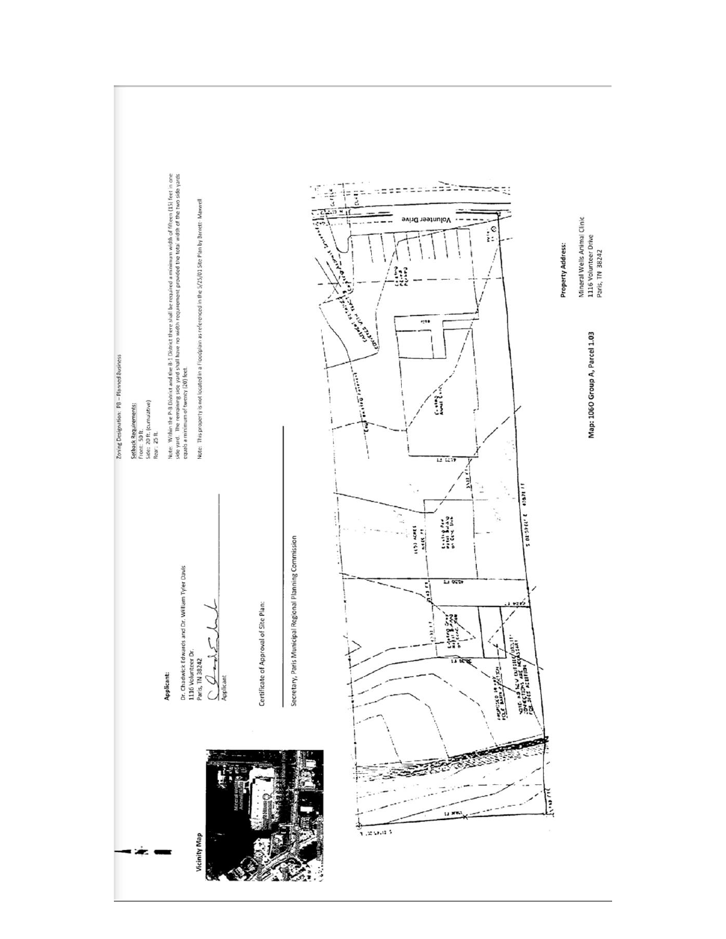